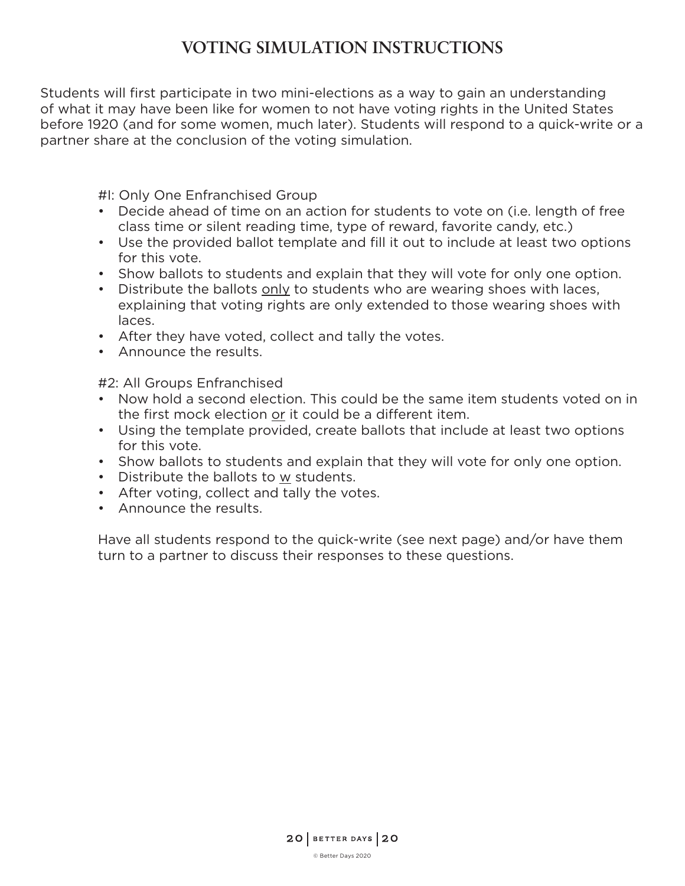## **VOTING SIMULATION INSTRUCTIONS**

Students will first participate in two mini-elections as a way to gain an understanding of what it may have been like for women to not have voting rights in the United States before 1920 (and for some women, much later). Students will respond to a quick-write or a partner share at the conclusion of the voting simulation.

#I: Only One Enfranchised Group

- Decide ahead of time on an action for students to vote on (i.e. length of free class time or silent reading time, type of reward, favorite candy, etc.)
- Use the provided ballot template and fill it out to include at least two options for this vote.
- Show ballots to students and explain that they will vote for only one option.
- Distribute the ballots only to students who are wearing shoes with laces, explaining that voting rights are only extended to those wearing shoes with laces.
- After they have voted, collect and tally the votes.
- Announce the results.

#2: All Groups Enfranchised

- Now hold a second election. This could be the same item students voted on in the first mock election or it could be a different item.
- Using the template provided, create ballots that include at least two options for this vote.
- Show ballots to students and explain that they will vote for only one option.
- Distribute the ballots to w students.
- After voting, collect and tally the votes.
- Announce the results.

Have all students respond to the quick-write (see next page) and/or have them turn to a partner to discuss their responses to these questions.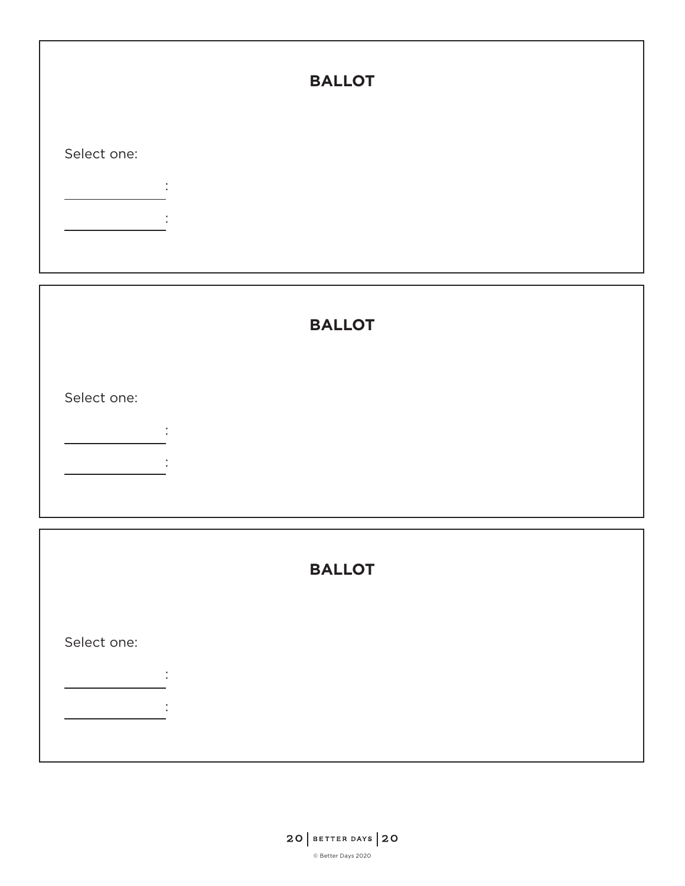|             |               | <b>BALLOT</b> |  |
|-------------|---------------|---------------|--|
| Select one: |               |               |  |
|             | ٠.<br>$\cdot$ |               |  |
|             |               |               |  |

|             |                          | <b>BALLOT</b> |  |  |
|-------------|--------------------------|---------------|--|--|
| Select one: | л.                       |               |  |  |
|             | $\cdot$                  |               |  |  |
|             | $\overline{\phantom{a}}$ |               |  |  |

|             | <b>BALLOT</b>           |
|-------------|-------------------------|
| Select one: |                         |
|             | ٠.<br>$\mathbf{r}$<br>٠ |
|             |                         |